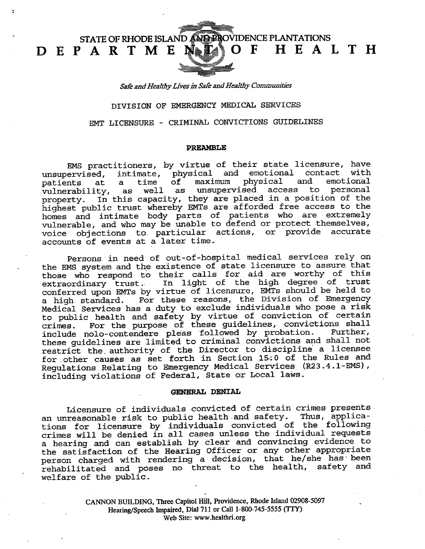STATE OF RHODE ISLAND AND PROVIDENCE PLANTATIONS

Safe and Healthy Lives in Safe and Healthy Communities

DEPARTMENTOF HEALTH

DIVISION OF EMERGENCY MEDICAL SERVICES

EMT LICENSURE - CRIMINAL CONVICTIONS GUIDELINES

### PREAMBLE

EMS practitioners, by virtue of their state licensure, have unsupervised, intimate, physical and emotional contact with<br>patients at a time of maximum physical and emotional patients at a time of maximum physical and emotional vulnerability, as well as unsupervised access to personal property. In this capacity, they are placed in a position of the highest public trust whereby EMTs are afforded free access to the homes and intimate body parts of patients who are extremely vulnerable, and who may be unable to defend or protect themselves, voice objections to. particular actions, or provide accurate accounts of events at a later time.

Persons in need of out-of-hospital medical services rely on the EMS system and the existence of state licensure to assure that those who respond to their calls for aid are worthy of this extraordinary trust.. In light of the high degree of trust conferred upon EMTs by virtue of licensure, EMTs should be held to a high standard. For these reasons, the Division of Emergency Medical Services has a duty to exclude individuals who pose a risk to public health and safety by virtue of conviction of certain crimes. For the purpose of these guidelines, convictions shall include nolo-contendere pleas 'followed by probation. Further, these guidelines are limited to criminal convictions and shall not restrict the. authority of the Director to discipline' a licensee for,other causes as set forth in Section 15·;0 of the Rules and Regulations Relating to Emergency Medical Services (R23.4.1-EMS), including violations of Federal, State or Local laws.

## GENERAL DENIAL

Licensure of individuals convicted of certain crimes presents, an unreasonable risk to public health.and safety. Thus, applications for licensure by individuals convicted of the following crimes will be denied in all cases unless the individual requests a hearing and can establish by clear and convincing evidence to the satisfaction of the Hearing Officer or any other appropriate person charged with rendering a decision, that he/she has been rehabilitated and poses no threat to the health, safety and welfare of the public.

> CANNON BUILDING, Three Capitol Hill, Providence, Rhode Island 02908-5097 Hearing/Speech Impaired, Dial 711 or Call 1-800-745-5555 (TrY) Web Site: [www.healtbri.org](http://www.healtbri.org)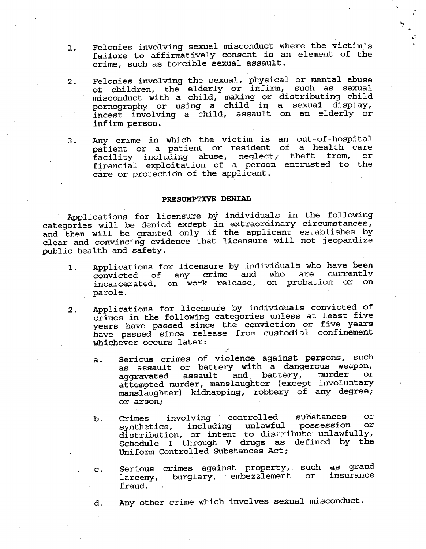- 1. Felonies involving sexual misconduct where the victim's failure to affirmatively consent is an element of the crime, such as forcible sexual assault.
- . Felonies involving the sexual, physical or mental abuse of children, the elderly or infirm, such as sexual misconduct with a child, making or distributing child pornography or using a child in a sexual display, incest involving a child, assault on an elderly or infirm person.
- 3. Any crime in which the victim is an out-of-hospital patient or a patient or resident of a health care facility including abuse, neglect, theft from, or financial exploitation of a person entrusted to the care or protection of the applicant.

# PRESUMPTIVE DENIAL

Applications for licensure by individuals in the following categories will be denied except in extraordinary circumstances, and then will be granted only if the applicant establishes by clear and convincing evidence that licensure will not jeopardize public health and safety.

- 1. Applications for licensure by individuals who have been convicted of any crime and who are currently incarcerated, on work release, on probation or on parole.
- 2. Applications for licensure by individuals convicted of crimes in the following categories unless at least five years have passed since the conviction or five years have passed since release from custodial confinement whichever occurs later:
	- a. Serious crimes of violence against persons, such as assault or battery with a dangerous weapon,<br>aggravated assault and battery, murder or aggravated assault attempted murder, manslaughter (except involuntary manslaughter) kidnapping, robbery of any degree; or arson;
	- b. Crimes involving controlled substances or synthetics, including unlawful distribution, or intent to distribute unlawfully, Schedule I through V drugs' as defined by the Uniform Controlled Substances Act;
	- Serious crimes against property, such as grand  $\mathbf{c}$ . burglary, embezzlement insuranceor larceny, fraud.
	- Any other crime which involves sexual misconduct. d.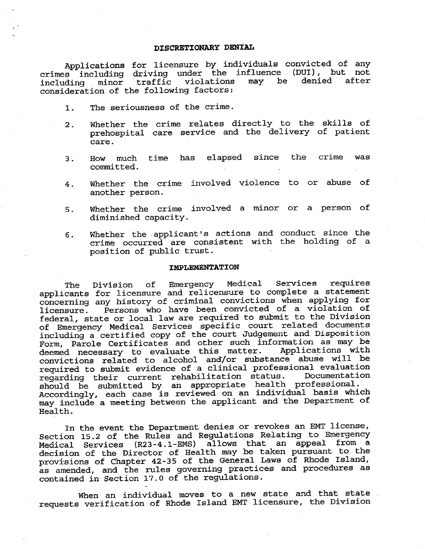# DISCRETIONARY DENIAL

Applications for licensure by individuals convicted of any crimes including driving under the influence (DUI), but not including minor traffic violations may be consideration of the following factors: denied after

- The seriousness of the crime.  $1.$
- 2. Whether the crime relates directly to the skills of prehospital care service and the delivery of patient care.
- 3. How much time has elapsed since the crime was committed.
- Whether the crime involved violence to or abuse of  $4.$ another person.
- Whether the crime involved a minor or a person of  $5.$ diminished capacity.
- 6. Whether the. applicant's actions and conduct since the crime occurred are consistent with the holding of a position of public trust.

#### IMPLEMENTATION

The Division of Emergency Medical Services requires applicants for licensure and relicensure to complete a statement concerning any history of criminal convictions when applying for licensure. Persons who have been convicted of a violation of federal, state or local law are required to submit to the Division of Emergency Medical Services specific court related documents including a certified copy of the court Judgement and Disposition Form, Parole Certificates and other such information as may be<br>deemed necessary to evaluate this matter. Applications with deemed necessary to evaluate this matter. convictions related to alcohol and/or substance abuse will be required to submit evidence of a clinical professional evaluation<br>regarding their current rehabilitation status. Documentation regarding their current rehabilitation status. should be submitted by an appropriate health professional. Accordingly, each case is reviewed on an individual basis which may include a meeting between the applicant and the Department of Health.

In the event the Department denies or revokes an EMT license, Section 15.2 of the Rules and Regulations Relating to Emergency Medical Services (R23-4.1-EMS) allows that an appeal from a decision of the "Director of Health may be taken pursuant to the provisions of Chapter 42-35 of the General Laws of Rhode Island, as amended, and the rules governing practices and procedures as contained in Section 17.0 of the regulations.

When an individual moves to a new state and that state requests verification of Rhode Island EMT licensure, the Division